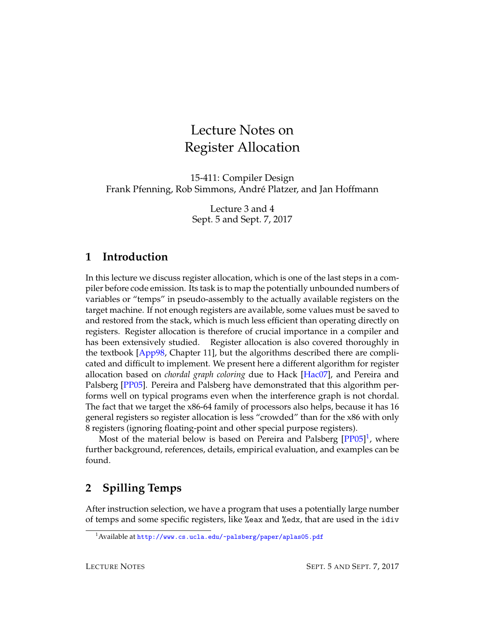# Lecture Notes on Register Allocation

15-411: Compiler Design Frank Pfenning, Rob Simmons, Andre Platzer, and Jan Hoffmann ´

> Lecture 3 and 4 Sept. 5 and Sept. 7, 2017

#### **1 Introduction**

In this lecture we discuss register allocation, which is one of the last steps in a compiler before code emission. Its task is to map the potentially unbounded numbers of variables or "temps" in pseudo-assembly to the actually available registers on the target machine. If not enough registers are available, some values must be saved to and restored from the stack, which is much less efficient than operating directly on registers. Register allocation is therefore of crucial importance in a compiler and has been extensively studied. Register allocation is also covered thoroughly in the textbook [\[App98,](#page-12-0) Chapter 11], but the algorithms described there are complicated and difficult to implement. We present here a different algorithm for register allocation based on *chordal graph coloring* due to Hack [\[Hac07\]](#page-12-1), and Pereira and Palsberg [\[PP05\]](#page-12-2). Pereira and Palsberg have demonstrated that this algorithm performs well on typical programs even when the interference graph is not chordal. The fact that we target the x86-64 family of processors also helps, because it has 16 general registers so register allocation is less "crowded" than for the x86 with only 8 registers (ignoring floating-point and other special purpose registers).

Most of the material below is based on Pereira and Palsberg [\[PP05\]](#page-12-2)<sup>[1](#page-0-0)</sup>, where further background, references, details, empirical evaluation, and examples can be found.

# **2 Spilling Temps**

After instruction selection, we have a program that uses a potentially large number of temps and some specific registers, like %eax and %edx, that are used in the idiv

<span id="page-0-0"></span><sup>&</sup>lt;sup>1</sup>Available at <http://www.cs.ucla.edu/~palsberg/paper/aplas05.pdf>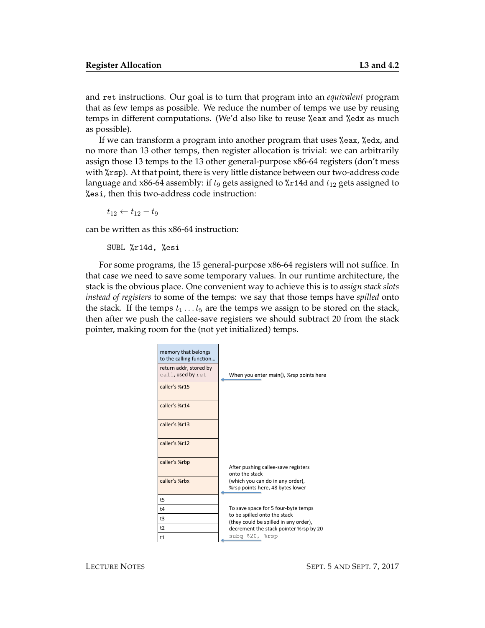and ret instructions. Our goal is to turn that program into an *equivalent* program that as few temps as possible. We reduce the number of temps we use by reusing temps in different computations. (We'd also like to reuse %eax and %edx as much as possible).

If we can transform a program into another program that uses %eax, %edx, and no more than 13 other temps, then register allocation is trivial: we can arbitrarily assign those 13 temps to the 13 other general-purpose x86-64 registers (don't mess with %rsp). At that point, there is very little distance between our two-address code language and x86-64 assembly: if  $t_9$  gets assigned to %r14d and  $t_{12}$  gets assigned to %esi, then this two-address code instruction:

 $t_{12} \leftarrow t_{12} - t_9$ 

can be written as this x86-64 instruction:

SUBL %r14d, %esi

For some programs, the 15 general-purpose x86-64 registers will not suffice. In that case we need to save some temporary values. In our runtime architecture, the stack is the obvious place. One convenient way to achieve this is to *assign stack slots instead of registers* to some of the temps: we say that those temps have *spilled* onto the stack. If the temps  $t_1 \ldots t_5$  are the temps we assign to be stored on the stack, then after we push the callee-save registers we should subtract 20 from the stack pointer, making room for the (not yet initialized) temps.

| memory that belongs<br>to the calling function |                                                                       |
|------------------------------------------------|-----------------------------------------------------------------------|
| return addr, stored by<br>call, used by ret    | When you enter main(), %rsp points here                               |
| caller's %r15                                  |                                                                       |
| caller's %r14                                  |                                                                       |
| caller's %r13                                  |                                                                       |
| caller's %r12                                  |                                                                       |
| caller's %rbp                                  | After pushing callee-save registers<br>onto the stack                 |
| caller's %rbx                                  | (which you can do in any order),<br>%rsp points here, 48 bytes lower  |
| t <sub>5</sub>                                 |                                                                       |
| t4                                             | To save space for 5 four-byte temps                                   |
| t3                                             | to be spilled onto the stack<br>(they could be spilled in any order), |
| t2                                             | decrement the stack pointer %rsp by 20                                |
| t1                                             | subq \$20, %rsp                                                       |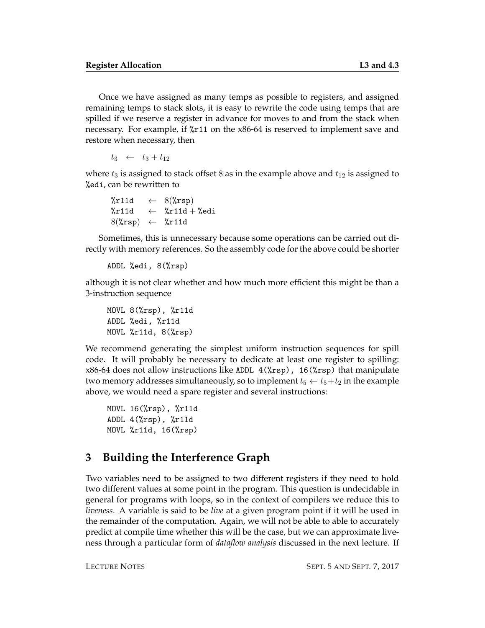Once we have assigned as many temps as possible to registers, and assigned remaining temps to stack slots, it is easy to rewrite the code using temps that are spilled if we reserve a register in advance for moves to and from the stack when necessary. For example, if %r11 on the x86-64 is reserved to implement save and restore when necessary, then

 $t_3 \leftarrow t_3 + t_{12}$ 

where  $t_3$  is assigned to stack offset 8 as in the example above and  $t_{12}$  is assigned to %edi, can be rewritten to

```
\text{%r11d} \leftarrow 8(\text{%rsp})\text{\%r11d} \leftarrow \text{\%r11d} + \text{\%edi}8(\text{%rsp}) \leftarrow \text{%r11d}
```
Sometimes, this is unnecessary because some operations can be carried out directly with memory references. So the assembly code for the above could be shorter

```
ADDL %edi, 8(%rsp)
```
although it is not clear whether and how much more efficient this might be than a 3-instruction sequence

```
MOVL 8(%rsp), %r11d
ADDL %edi, %r11d
MOVL %r11d, 8(%rsp)
```
We recommend generating the simplest uniform instruction sequences for spill code. It will probably be necessary to dedicate at least one register to spilling: x86-64 does not allow instructions like ADDL 4(%rsp), 16(%rsp) that manipulate two memory addresses simultaneously, so to implement  $t_5 \leftarrow t_5+t_2$  in the example above, we would need a spare register and several instructions:

```
MOVL 16(%rsp), %r11d
ADDL 4(%rsp), %r11d
MOVL %r11d, 16(%rsp)
```
# **3 Building the Interference Graph**

Two variables need to be assigned to two different registers if they need to hold two different values at some point in the program. This question is undecidable in general for programs with loops, so in the context of compilers we reduce this to *liveness*. A variable is said to be *live* at a given program point if it will be used in the remainder of the computation. Again, we will not be able to able to accurately predict at compile time whether this will be the case, but we can approximate liveness through a particular form of *dataflow analysis* discussed in the next lecture. If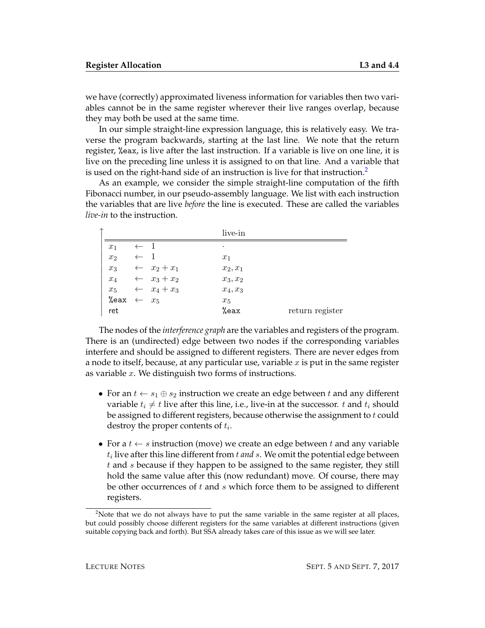we have (correctly) approximated liveness information for variables then two variables cannot be in the same register wherever their live ranges overlap, because they may both be used at the same time.

In our simple straight-line expression language, this is relatively easy. We traverse the program backwards, starting at the last line. We note that the return register, %eax, is live after the last instruction. If a variable is live on one line, it is live on the preceding line unless it is assigned to on that line. And a variable that is used on the right-hand side of an instruction is live for that instruction.<sup>[2](#page-3-0)</sup>

As an example, we consider the simple straight-line computation of the fifth Fibonacci number, in our pseudo-assembly language. We list with each instruction the variables that are live *before* the line is executed. These are called the variables *live-in* to the instruction.

|                |  | live-in                                                                                                                                         |                 |
|----------------|--|-------------------------------------------------------------------------------------------------------------------------------------------------|-----------------|
| $x_1$          |  | ٠                                                                                                                                               |                 |
| x <sub>2</sub> |  | $x_1$                                                                                                                                           |                 |
| $x_3$          |  | $x_2, x_1$                                                                                                                                      |                 |
| $x_4$          |  | $x_3, x_2$                                                                                                                                      |                 |
| $x_5$          |  | $x_4, x_3$                                                                                                                                      |                 |
|                |  | $x_5$                                                                                                                                           |                 |
| ret            |  | %eax                                                                                                                                            | return register |
|                |  | $\leftarrow$ 1<br>$\leftarrow$ 1<br>$\leftarrow$ $x_2 + x_1$<br>$\leftarrow$ $x_3 + x_2$<br>$\leftarrow$ $x_4 + x_3$<br>%eax $\leftarrow$ $x_5$ |                 |

The nodes of the *interference graph* are the variables and registers of the program. There is an (undirected) edge between two nodes if the corresponding variables interfere and should be assigned to different registers. There are never edges from a node to itself, because, at any particular use, variable  $x$  is put in the same register as variable  $x$ . We distinguish two forms of instructions.

- For an  $t \leftarrow s_1 \oplus s_2$  instruction we create an edge between t and any different variable  $t_i \neq t$  live after this line, i.e., live-in at the successor. t and  $t_i$  should be assigned to different registers, because otherwise the assignment to  $t$  could destroy the proper contents of  $t_i$ .
- For a  $t \leftarrow s$  instruction (move) we create an edge between t and any variable  $t_i$  live after this line different from  $t$  *and*  $s$ . We omit the potential edge between t and s because if they happen to be assigned to the same register, they still hold the same value after this (now redundant) move. Of course, there may be other occurrences of  $t$  and  $s$  which force them to be assigned to different registers.

<span id="page-3-0"></span><sup>&</sup>lt;sup>2</sup>Note that we do not always have to put the same variable in the same register at all places, but could possibly choose different registers for the same variables at different instructions (given suitable copying back and forth). But SSA already takes care of this issue as we will see later.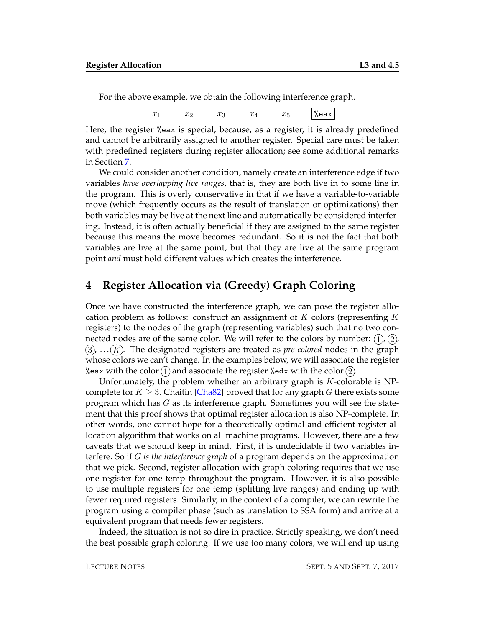For the above example, we obtain the following interference graph.

 $x_1 \longrightarrow x_2 \longrightarrow x_3 \longrightarrow x_4$   $x_5$  Weax

Here, the register %eax is special, because, as a register, it is already predefined and cannot be arbitrarily assigned to another register. Special care must be taken with predefined registers during register allocation; see some additional remarks in Section [7.](#page-9-0)

We could consider another condition, namely create an interference edge if two variables *have overlapping live ranges*, that is, they are both live in to some line in the program. This is overly conservative in that if we have a variable-to-variable move (which frequently occurs as the result of translation or optimizations) then both variables may be live at the next line and automatically be considered interfering. Instead, it is often actually beneficial if they are assigned to the same register because this means the move becomes redundant. So it is not the fact that both variables are live at the same point, but that they are live at the same program point *and* must hold different values which creates the interference.

## **4 Register Allocation via (Greedy) Graph Coloring**

Once we have constructed the interference graph, we can pose the register allocation problem as follows: construct an assignment of  $K$  colors (representing  $K$ registers) to the nodes of the graph (representing variables) such that no two connected nodes are of the same color. We will refer to the colors by number:  $(1)$ ,  $(2)$ ,  $(3)$ ,  $\ldots$  $(K)$ . The designated registers are treated as *pre-colored* nodes in the graph whose colors we can't change. In the examples below, we will associate the register %eax with the color  $(1)$  and associate the register %edx with the color  $(2)$ .

Unfortunately, the problem whether an arbitrary graph is  $K$ -colorable is NPcomplete for  $K \geq 3$ . Chaitin [\[Cha82\]](#page-12-3) proved that for any graph G there exists some program which has G as its interference graph. Sometimes you will see the statement that this proof shows that optimal register allocation is also NP-complete. In other words, one cannot hope for a theoretically optimal and efficient register allocation algorithm that works on all machine programs. However, there are a few caveats that we should keep in mind. First, it is undecidable if two variables interfere. So if G *is the interference graph* of a program depends on the approximation that we pick. Second, register allocation with graph coloring requires that we use one register for one temp throughout the program. However, it is also possible to use multiple registers for one temp (splitting live ranges) and ending up with fewer required registers. Similarly, in the context of a compiler, we can rewrite the program using a compiler phase (such as translation to SSA form) and arrive at a equivalent program that needs fewer registers.

Indeed, the situation is not so dire in practice. Strictly speaking, we don't need the best possible graph coloring. If we use too many colors, we will end up using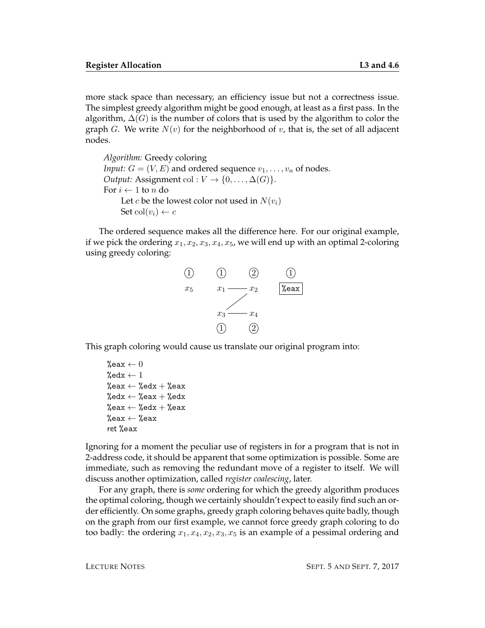more stack space than necessary, an efficiency issue but not a correctness issue. The simplest greedy algorithm might be good enough, at least as a first pass. In the algorithm,  $\Delta(G)$  is the number of colors that is used by the algorithm to color the graph G. We write  $N(v)$  for the neighborhood of v, that is, the set of all adjacent nodes.

*Algorithm:* Greedy coloring *Input:*  $G = (V, E)$  and ordered sequence  $v_1, \ldots, v_n$  of nodes. *Output:* Assignment col :  $V \to \{0, \ldots, \Delta(G)\}.$ For  $i \leftarrow 1$  to n do Let c be the lowest color not used in  $N(v_i)$ Set col $(v_i) \leftarrow c$ 

The ordered sequence makes all the difference here. For our original example, if we pick the ordering  $x_1, x_2, x_3, x_4, x_5$ , we will end up with an optimal 2-coloring using greedy coloring:



This graph coloring would cause us translate our original program into:

```
%eax \leftarrow 0
%edx \leftarrow 1
%eax \leftarrow %edx + %eax
%edx \leftarrow %eax + %edx
%eax \leftarrow %edx + %eax
%eax \leftarrow % eax
ret %eax
```
Ignoring for a moment the peculiar use of registers in for a program that is not in 2-address code, it should be apparent that some optimization is possible. Some are immediate, such as removing the redundant move of a register to itself. We will discuss another optimization, called *register coalescing*, later.

For any graph, there is *some* ordering for which the greedy algorithm produces the optimal coloring, though we certainly shouldn't expect to easily find such an order efficiently. On some graphs, greedy graph coloring behaves quite badly, though on the graph from our first example, we cannot force greedy graph coloring to do too badly: the ordering  $x_1, x_4, x_2, x_3, x_5$  is an example of a pessimal ordering and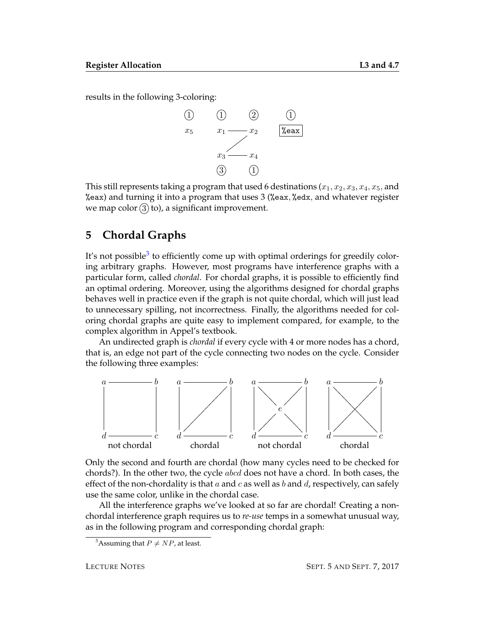results in the following 3-coloring:



This still represents taking a program that used 6 destinations  $(x_1, x_2, x_3, x_4, x_5,$  and %eax) and turning it into a program that uses 3 (%eax, %edx, and whatever register we map color  $(3)$  to), a significant improvement.

### **5 Chordal Graphs**

It's not possible<sup>[3](#page-6-0)</sup> to efficiently come up with optimal orderings for greedily coloring arbitrary graphs. However, most programs have interference graphs with a particular form, called *chordal*. For chordal graphs, it is possible to efficiently find an optimal ordering. Moreover, using the algorithms designed for chordal graphs behaves well in practice even if the graph is not quite chordal, which will just lead to unnecessary spilling, not incorrectness. Finally, the algorithms needed for coloring chordal graphs are quite easy to implement compared, for example, to the complex algorithm in Appel's textbook.

An undirected graph is *chordal* if every cycle with 4 or more nodes has a chord, that is, an edge not part of the cycle connecting two nodes on the cycle. Consider the following three examples:



Only the second and fourth are chordal (how many cycles need to be checked for chords?). In the other two, the cycle abcd does not have a chord. In both cases, the effect of the non-chordality is that  $a$  and  $c$  as well as  $b$  and  $d$ , respectively, can safely use the same color, unlike in the chordal case.

All the interference graphs we've looked at so far are chordal! Creating a nonchordal interference graph requires us to *re-use* temps in a somewhat unusual way, as in the following program and corresponding chordal graph:

<span id="page-6-0"></span><sup>&</sup>lt;sup>3</sup>Assuming that  $P \neq NP$ , at least.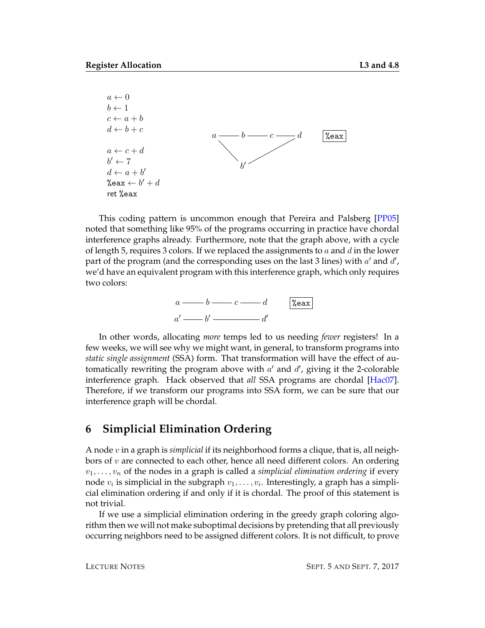

This coding pattern is uncommon enough that Pereira and Palsberg [\[PP05\]](#page-12-2) noted that something like 95% of the programs occurring in practice have chordal interference graphs already. Furthermore, note that the graph above, with a cycle of length 5, requires 3 colors. If we replaced the assignments to  $a$  and  $d$  in the lower part of the program (and the corresponding uses on the last 3 lines) with  $a'$  and  $d'$ , we'd have an equivalent program with this interference graph, which only requires two colors:

|   |  | $ \%$ eax |
|---|--|-----------|
| a |  |           |

In other words, allocating *more* temps led to us needing *fewer* registers! In a few weeks, we will see why we might want, in general, to transform programs into *static single assignment* (SSA) form. That transformation will have the effect of automatically rewriting the program above with  $a'$  and  $d'$ , giving it the 2-colorable interference graph. Hack observed that *all* SSA programs are chordal [\[Hac07\]](#page-12-1). Therefore, if we transform our programs into SSA form, we can be sure that our interference graph will be chordal.

#### **6 Simplicial Elimination Ordering**

A node v in a graph is *simplicial* if its neighborhood forms a clique, that is, all neighbors of v are connected to each other, hence all need different colors. An ordering  $v_1, \ldots, v_n$  of the nodes in a graph is called a *simplicial elimination ordering* if every node  $v_i$  is simplicial in the subgraph  $v_1,\ldots,v_i.$  Interestingly, a graph has a simplicial elimination ordering if and only if it is chordal. The proof of this statement is not trivial.

If we use a simplicial elimination ordering in the greedy graph coloring algorithm then we will not make suboptimal decisions by pretending that all previously occurring neighbors need to be assigned different colors. It is not difficult, to prove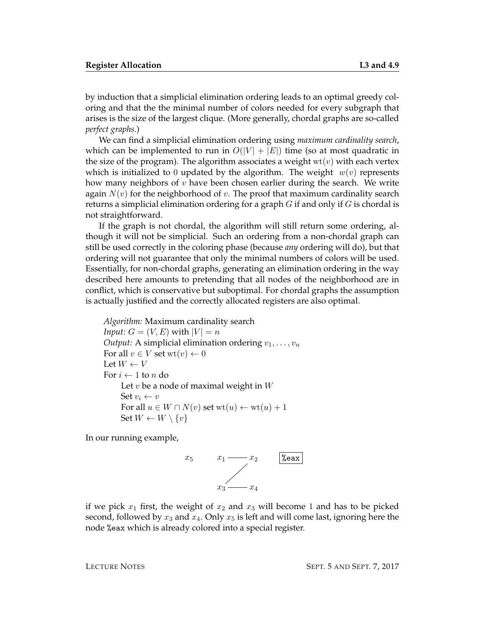by induction that a simplicial elimination ordering leads to an optimal greedy coloring and that the the minimal number of colors needed for every subgraph that arises is the size of the largest clique. (More generally, chordal graphs are so-called *perfect graphs*.)

We can find a simplicial elimination ordering using *maximum cardinality search*, which can be implemented to run in  $O(|V| + |E|)$  time (so at most quadratic in the size of the program). The algorithm associates a weight  $wt(v)$  with each vertex which is initialized to 0 updated by the algorithm. The weight  $w(v)$  represents how many neighbors of  $v$  have been chosen earlier during the search. We write again  $N(v)$  for the neighborhood of v. The proof that maximum cardinality search returns a simplicial elimination ordering for a graph  $G$  if and only if  $G$  is chordal is not straightforward.

If the graph is not chordal, the algorithm will still return some ordering, although it will not be simplicial. Such an ordering from a non-chordal graph can still be used correctly in the coloring phase (because *any* ordering will do), but that ordering will not guarantee that only the minimal numbers of colors will be used. Essentially, for non-chordal graphs, generating an elimination ordering in the way described here amounts to pretending that all nodes of the neighborhood are in conflict, which is conservative but suboptimal. For chordal graphs the assumption is actually justified and the correctly allocated registers are also optimal.

*Algorithm:* Maximum cardinality search *Input:*  $G = (V, E)$  with  $|V| = n$ *Output:* A simplicial elimination ordering  $v_1, \ldots, v_n$ For all  $v \in V$  set  $wt(v) \leftarrow 0$ Let  $W \leftarrow V$ For  $i \leftarrow 1$  to *n* do Let  $v$  be a node of maximal weight in  $W$ Set  $v_i \leftarrow v$ For all  $u \in W \cap N(v)$  set  $wt(u) \leftarrow wt(u) + 1$ Set  $W \leftarrow W \setminus \{v\}$ 

In our running example,



if we pick  $x_1$  first, the weight of  $x_2$  and  $x_3$  will become 1 and has to be picked second, followed by  $x_3$  and  $x_4$ . Only  $x_5$  is left and will come last, ignoring here the node %eax which is already colored into a special register.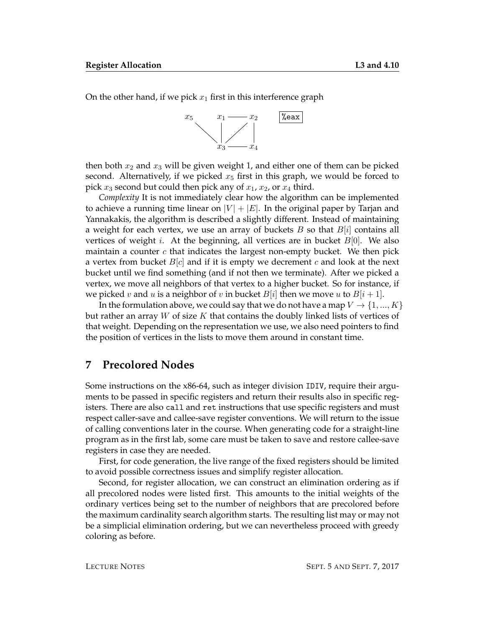On the other hand, if we pick  $x_1$  first in this interference graph



then both  $x_2$  and  $x_3$  will be given weight 1, and either one of them can be picked second. Alternatively, if we picked  $x_5$  first in this graph, we would be forced to pick  $x_3$  second but could then pick any of  $x_1$ ,  $x_2$ , or  $x_4$  third.

*Complexity* It is not immediately clear how the algorithm can be implemented to achieve a running time linear on  $|V| + |E|$ . In the original paper by Tarjan and Yannakakis, the algorithm is described a slightly different. Instead of maintaining a weight for each vertex, we use an array of buckets  $B$  so that  $B[i]$  contains all vertices of weight *i*. At the beginning, all vertices are in bucket  $B[0]$ . We also maintain a counter  $c$  that indicates the largest non-empty bucket. We then pick a vertex from bucket  $B[c]$  and if it is empty we decrement c and look at the next bucket until we find something (and if not then we terminate). After we picked a vertex, we move all neighbors of that vertex to a higher bucket. So for instance, if we picked v and u is a neighbor of v in bucket  $B[i]$  then we move u to  $B[i+1]$ .

In the formulation above, we could say that we do not have a map  $V \to \{1, ..., K\}$ but rather an array  $W$  of size  $K$  that contains the doubly linked lists of vertices of that weight. Depending on the representation we use, we also need pointers to find the position of vertices in the lists to move them around in constant time.

#### <span id="page-9-0"></span>**7 Precolored Nodes**

Some instructions on the x86-64, such as integer division IDIV, require their arguments to be passed in specific registers and return their results also in specific registers. There are also call and ret instructions that use specific registers and must respect caller-save and callee-save register conventions. We will return to the issue of calling conventions later in the course. When generating code for a straight-line program as in the first lab, some care must be taken to save and restore callee-save registers in case they are needed.

First, for code generation, the live range of the fixed registers should be limited to avoid possible correctness issues and simplify register allocation.

Second, for register allocation, we can construct an elimination ordering as if all precolored nodes were listed first. This amounts to the initial weights of the ordinary vertices being set to the number of neighbors that are precolored before the maximum cardinality search algorithm starts. The resulting list may or may not be a simplicial elimination ordering, but we can nevertheless proceed with greedy coloring as before.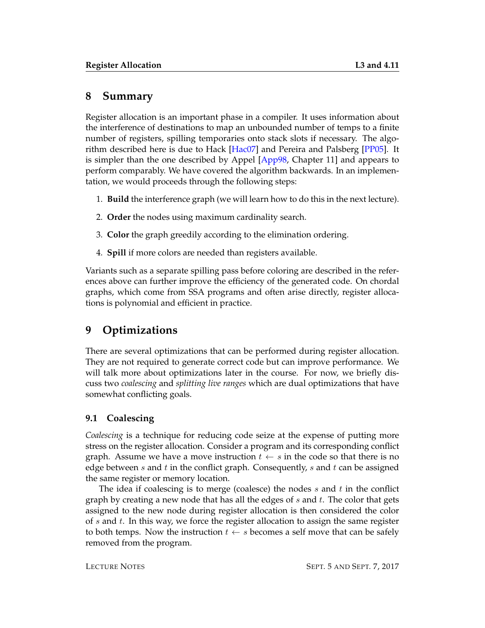### **8 Summary**

Register allocation is an important phase in a compiler. It uses information about the interference of destinations to map an unbounded number of temps to a finite number of registers, spilling temporaries onto stack slots if necessary. The algorithm described here is due to Hack [\[Hac07\]](#page-12-1) and Pereira and Palsberg [\[PP05\]](#page-12-2). It is simpler than the one described by Appel [\[App98,](#page-12-0) Chapter 11] and appears to perform comparably. We have covered the algorithm backwards. In an implementation, we would proceeds through the following steps:

- 1. **Build** the interference graph (we will learn how to do this in the next lecture).
- 2. **Order** the nodes using maximum cardinality search.
- 3. **Color** the graph greedily according to the elimination ordering.
- 4. **Spill** if more colors are needed than registers available.

Variants such as a separate spilling pass before coloring are described in the references above can further improve the efficiency of the generated code. On chordal graphs, which come from SSA programs and often arise directly, register allocations is polynomial and efficient in practice.

# **9 Optimizations**

There are several optimizations that can be performed during register allocation. They are not required to generate correct code but can improve performance. We will talk more about optimizations later in the course. For now, we briefly discuss two *coalescing* and *splitting live ranges* which are dual optimizations that have somewhat conflicting goals.

#### **9.1 Coalescing**

*Coalescing* is a technique for reducing code seize at the expense of putting more stress on the register allocation. Consider a program and its corresponding conflict graph. Assume we have a move instruction  $t \leftarrow s$  in the code so that there is no edge between s and t in the conflict graph. Consequently, s and t can be assigned the same register or memory location.

The idea if coalescing is to merge (coalesce) the nodes  $s$  and  $t$  in the conflict graph by creating a new node that has all the edges of s and t. The color that gets assigned to the new node during register allocation is then considered the color of  $s$  and  $t$ . In this way, we force the register allocation to assign the same register to both temps. Now the instruction  $t \leftarrow s$  becomes a self move that can be safely removed from the program.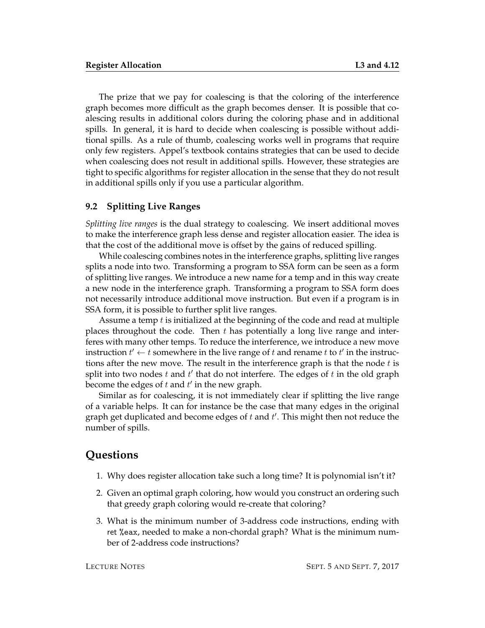The prize that we pay for coalescing is that the coloring of the interference graph becomes more difficult as the graph becomes denser. It is possible that coalescing results in additional colors during the coloring phase and in additional spills. In general, it is hard to decide when coalescing is possible without additional spills. As a rule of thumb, coalescing works well in programs that require only few registers. Appel's textbook contains strategies that can be used to decide when coalescing does not result in additional spills. However, these strategies are tight to specific algorithms for register allocation in the sense that they do not result in additional spills only if you use a particular algorithm.

#### **9.2 Splitting Live Ranges**

*Splitting live ranges* is the dual strategy to coalescing. We insert additional moves to make the interference graph less dense and register allocation easier. The idea is that the cost of the additional move is offset by the gains of reduced spilling.

While coalescing combines notes in the interference graphs, splitting live ranges splits a node into two. Transforming a program to SSA form can be seen as a form of splitting live ranges. We introduce a new name for a temp and in this way create a new node in the interference graph. Transforming a program to SSA form does not necessarily introduce additional move instruction. But even if a program is in SSA form, it is possible to further split live ranges.

Assume a temp  $t$  is initialized at the beginning of the code and read at multiple places throughout the code. Then  $t$  has potentially a long live range and interferes with many other temps. To reduce the interference, we introduce a new move instruction  $t' \leftarrow t$  somewhere in the live range of  $t$  and rename  $t$  to  $t'$  in the instructions after the new move. The result in the interference graph is that the node  $t$  is split into two nodes  $t$  and  $t'$  that do not interfere. The edges of  $t$  in the old graph become the edges of  $t$  and  $t'$  in the new graph.

Similar as for coalescing, it is not immediately clear if splitting the live range of a variable helps. It can for instance be the case that many edges in the original graph get duplicated and become edges of  $t$  and  $t'$ . This might then not reduce the number of spills.

#### **Questions**

- 1. Why does register allocation take such a long time? It is polynomial isn't it?
- 2. Given an optimal graph coloring, how would you construct an ordering such that greedy graph coloring would re-create that coloring?
- 3. What is the minimum number of 3-address code instructions, ending with ret %eax, needed to make a non-chordal graph? What is the minimum number of 2-address code instructions?